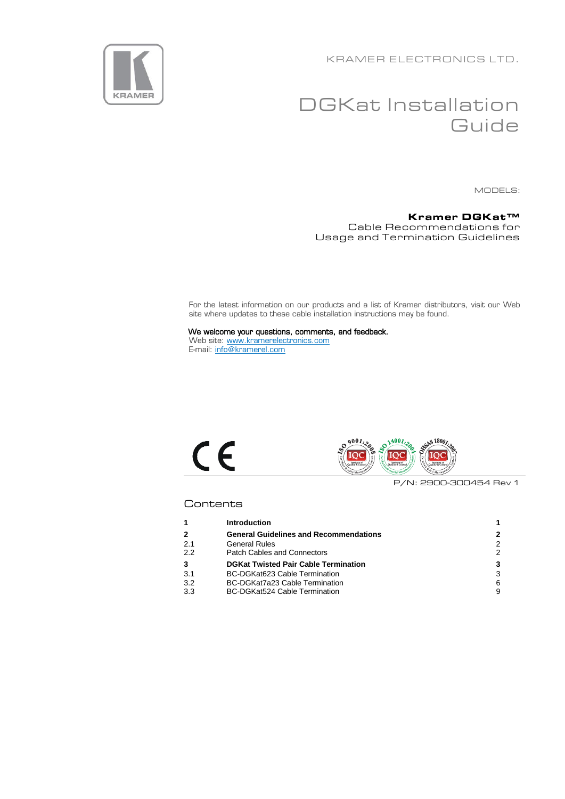KRAMER ELECTRONICS LTD.



# DGKat Installation **Guide**

MODELS:

#### **Kramer DGKat™** Cable Recommendations for Usage and Termination Guidelines

For the latest information on our products and a list of Kramer distributors, visit our Web site where updates to these cable installation instructions may be found.

We welcome your questions, comments, and feedback. Web site: [www.kramerelectronics.com](http://www.kramerelectronics.com/) E-mail: [info@kramerel.com](mailto:info@kramerel.com)





P/N: 2900-300454 Rev 1

### **Contents**

|     | <b>Introduction</b>                           |               |
|-----|-----------------------------------------------|---------------|
| 2   | <b>General Guidelines and Recommendations</b> | 2             |
| 2.1 | <b>General Rules</b>                          | 2             |
| 2.2 | <b>Patch Cables and Connectors</b>            | $\mathcal{P}$ |
| 3   | <b>DGKat Twisted Pair Cable Termination</b>   | 3             |
| 3.1 | BC-DGKat623 Cable Termination                 | 3             |
| 3.2 | BC-DGKat7a23 Cable Termination                | 6             |
| 3.3 | BC-DGKat524 Cable Termination                 | 9             |
|     |                                               |               |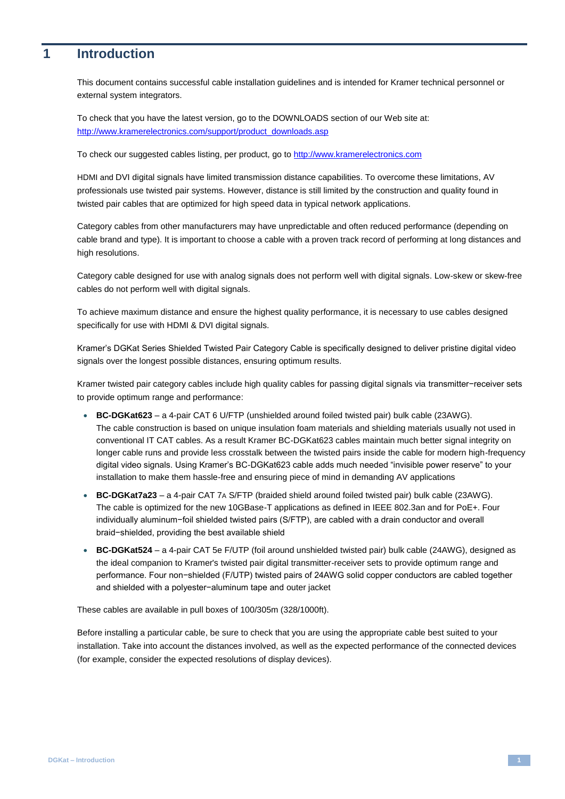# <span id="page-1-0"></span>**1 Introduction**

This document contains successful cable installation guidelines and is intended for Kramer technical personnel or external system integrators.

To check that you have the latest version, go to the DOWNLOADS section of our Web site at: [http://www.kramerelectronics.com/support/product\\_downloads.asp](http://www.kramerelectronics.com/support/product_downloads.asp)

To check our suggested cables listing, per product, go t[o http://www.kramerelectronics.com](http://www.kramerelectronics.com/)

HDMI and DVI digital signals have limited transmission distance capabilities. To overcome these limitations, AV professionals use twisted pair systems. However, distance is still limited by the construction and quality found in twisted pair cables that are optimized for high speed data in typical network applications.

Category cables from other manufacturers may have unpredictable and often reduced performance (depending on cable brand and type). It is important to choose a cable with a proven track record of performing at long distances and high resolutions.

Category cable designed for use with analog signals does not perform well with digital signals. Low-skew or skew-free cables do not perform well with digital signals.

To achieve maximum distance and ensure the highest quality performance, it is necessary to use cables designed specifically for use with HDMI & DVI digital signals.

Kramer's DGKat Series Shielded Twisted Pair Category Cable is specifically designed to deliver pristine digital video signals over the longest possible distances, ensuring optimum results.

Kramer twisted pair category cables include high quality cables for passing digital signals via transmitter−receiver sets to provide optimum range and performance:

- **BC-DGKat623** a 4-pair CAT 6 U/FTP (unshielded around foiled twisted pair) bulk cable (23AWG). The cable construction is based on unique insulation foam materials and shielding materials usually not used in conventional IT CAT cables. As a result Kramer BC-DGKat623 cables maintain much better signal integrity on longer cable runs and provide less crosstalk between the twisted pairs inside the cable for modern high-frequency digital video signals. Using Kramer's BC-DGKat623 cable adds much needed "invisible power reserve" to your installation to make them hassle-free and ensuring piece of mind in demanding AV applications
- **BC-DGKat7a23** a 4-pair CAT 7A S/FTP (braided shield around foiled twisted pair) bulk cable (23AWG). The cable is optimized for the new 10GBase-T applications as defined in IEEE 802.3an and for PoE+. Four individually aluminum−foil shielded twisted pairs (S/FTP), are cabled with a drain conductor and overall braid−shielded, providing the best available shield
- **BC-DGKat524** a 4-pair CAT 5e F/UTP (foil around unshielded twisted pair) bulk cable (24AWG), designed as the ideal companion to Kramer's twisted pair digital transmitter-receiver sets to provide optimum range and performance. Four non−shielded (F/UTP) twisted pairs of 24AWG solid copper conductors are cabled together and shielded with a polyester−aluminum tape and outer jacket

These cables are available in pull boxes of 100/305m (328/1000ft).

Before installing a particular cable, be sure to check that you are using the appropriate cable best suited to your installation. Take into account the distances involved, as well as the expected performance of the connected devices (for example, consider the expected resolutions of display devices).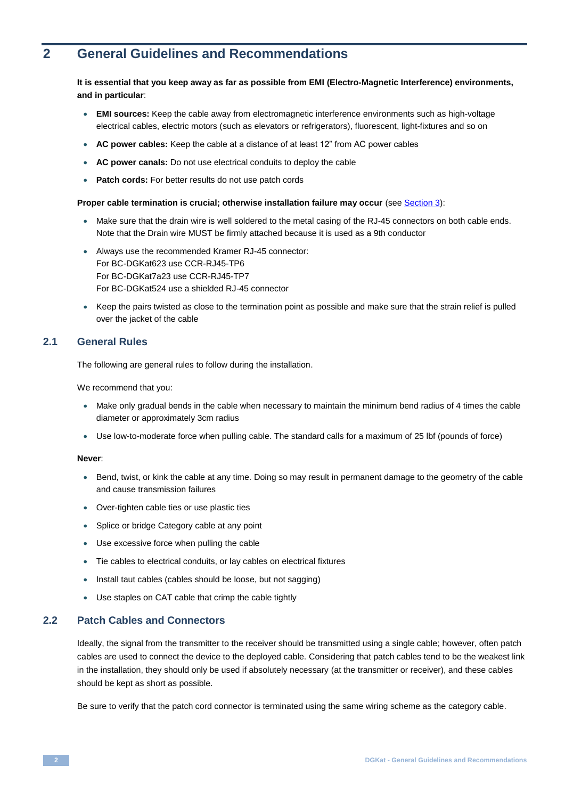# <span id="page-2-0"></span>**2 General Guidelines and Recommendations**

#### **It is essential that you keep away as far as possible from EMI (Electro-Magnetic Interference) environments, and in particular**:

- **EMI sources:** Keep the cable away from electromagnetic interference environments such as high-voltage electrical cables, electric motors (such as elevators or refrigerators), fluorescent, light-fixtures and so on
- **AC power cables:** Keep the cable at a distance of at least 12" from AC power cables
- **AC power canals:** Do not use electrical conduits to deploy the cable
- **Patch cords:** For better results do not use patch cords

#### **Proper cable termination is crucial; otherwise installation failure may occur** (see Sectio[n 3\)](#page-3-0):

- Make sure that the drain wire is well soldered to the metal casing of the RJ-45 connectors on both cable ends. Note that the Drain wire MUST be firmly attached because it is used as a 9th conductor
- Always use the recommended Kramer RJ-45 connector: For BC-DGKat623 use CCR-RJ45-TP6 For BC-DGKat7a23 use CCR-RJ45-TP7 For BC-DGKat524 use a shielded RJ-45 connector
- Keep the pairs twisted as close to the termination point as possible and make sure that the strain relief is pulled over the jacket of the cable

## <span id="page-2-1"></span>**2.1 General Rules**

The following are general rules to follow during the installation.

We recommend that you:

- Make only gradual bends in the cable when necessary to maintain the minimum bend radius of 4 times the cable diameter or approximately 3cm radius
- Use low-to-moderate force when pulling cable. The standard calls for a maximum of 25 lbf (pounds of force)

#### **Never**:

- Bend, twist, or kink the cable at any time. Doing so may result in permanent damage to the geometry of the cable and cause transmission failures
- Over-tighten cable ties or use plastic ties
- Splice or bridge Category cable at any point
- Use excessive force when pulling the cable
- Tie cables to electrical conduits, or lay cables on electrical fixtures
- Install taut cables (cables should be loose, but not sagging)
- Use staples on CAT cable that crimp the cable tightly

#### <span id="page-2-2"></span>**2.2 Patch Cables and Connectors**

Ideally, the signal from the transmitter to the receiver should be transmitted using a single cable; however, often patch cables are used to connect the device to the deployed cable. Considering that patch cables tend to be the weakest link in the installation, they should only be used if absolutely necessary (at the transmitter or receiver), and these cables should be kept as short as possible.

Be sure to verify that the patch cord connector is terminated using the same wiring scheme as the category cable.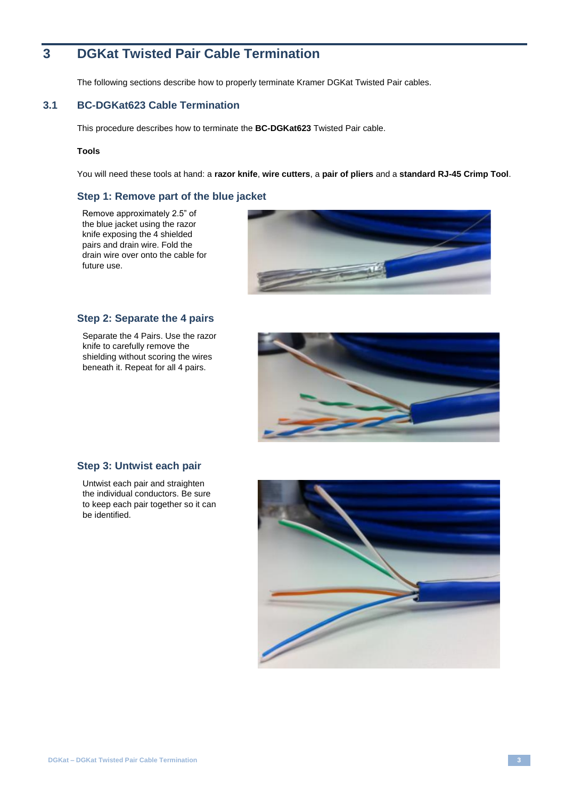# <span id="page-3-0"></span>**3 DGKat Twisted Pair Cable Termination**

The following sections describe how to properly terminate Kramer DGKat Twisted Pair cables.

# <span id="page-3-1"></span>**3.1 BC-DGKat623 Cable Termination**

This procedure describes how to terminate the **BC-DGKat623** Twisted Pair cable.

#### **Tools**

You will need these tools at hand: a **razor knife**, **wire cutters**, a **pair of pliers** and a **standard RJ-45 Crimp Tool**.

#### **Step 1: Remove part of the blue jacket**

Remove approximately 2.5" of the blue jacket using the razor knife exposing the 4 shielded pairs and drain wire. Fold the drain wire over onto the cable for future use.



#### **Step 2: Separate the 4 pairs**

Separate the 4 Pairs. Use the razor knife to carefully remove the shielding without scoring the wires beneath it. Repeat for all 4 pairs.



#### **Step 3: Untwist each pair**

Untwist each pair and straighten the individual conductors. Be sure to keep each pair together so it can be identified.

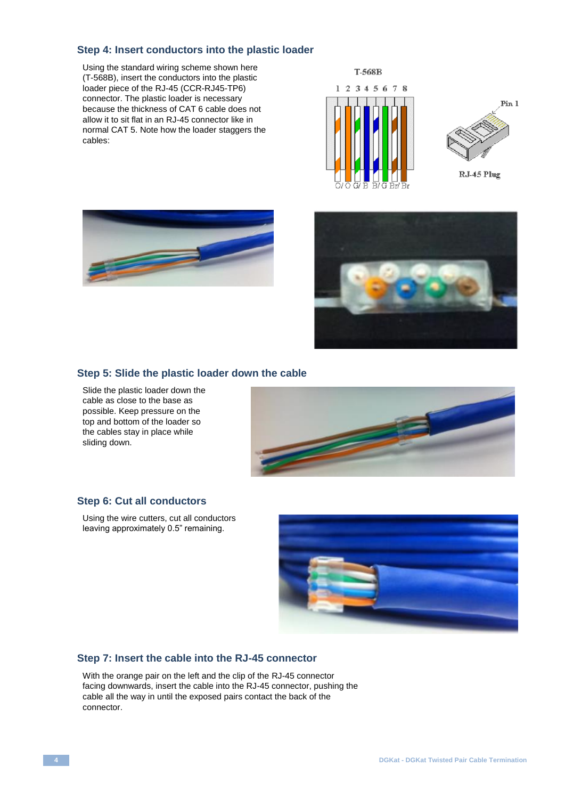### **Step 4: Insert conductors into the plastic loader**

Using the standard wiring scheme shown here (T-568B), insert the conductors into the plastic loader piece of the RJ-45 (CCR-RJ45-TP6) connector. The plastic loader is necessary because the thickness of CAT 6 cable does not allow it to sit flat in an RJ-45 connector like in normal CAT 5. Note how the loader staggers the cables:







### **Step 5: Slide the plastic loader down the cable**

Slide the plastic loader down the cable as close to the base as possible. Keep pressure on the top and bottom of the loader so the cables stay in place while sliding down.



#### **Step 6: Cut all conductors**

Using the wire cutters, cut all conductors leaving approximately 0.5" remaining.



### **Step 7: Insert the cable into the RJ-45 connector**

With the orange pair on the left and the clip of the RJ-45 connector facing downwards, insert the cable into the RJ-45 connector, pushing the cable all the way in until the exposed pairs contact the back of the connector.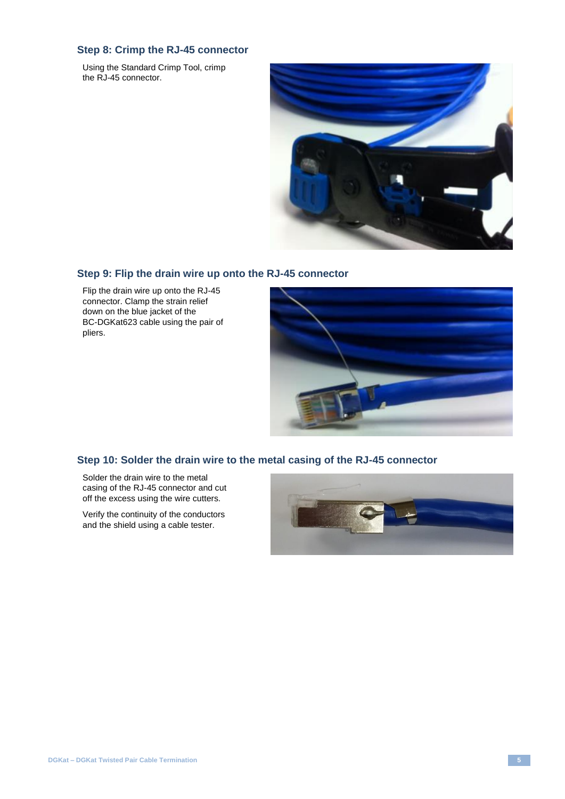# **Step 8: Crimp the RJ-45 connector**

Using the Standard Crimp Tool, crimp the RJ-45 connector.



### **Step 9: Flip the drain wire up onto the RJ-45 connector**

Flip the drain wire up onto the RJ-45 connector. Clamp the strain relief down on the blue jacket of the BC-DGKat623 cable using the pair of pliers.



# **Step 10: Solder the drain wire to the metal casing of the RJ-45 connector**

Solder the drain wire to the metal casing of the RJ-45 connector and cut off the excess using the wire cutters.

Verify the continuity of the conductors and the shield using a cable tester.

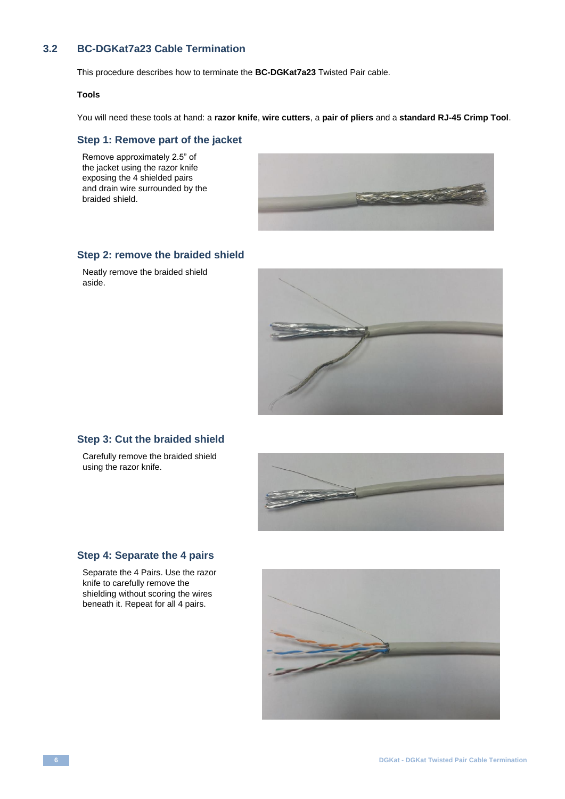# <span id="page-6-0"></span>**3.2 BC-DGKat7a23 Cable Termination**

This procedure describes how to terminate the **BC-DGKat7a23** Twisted Pair cable.

#### **Tools**

You will need these tools at hand: a **razor knife**, **wire cutters**, a **pair of pliers** and a **standard RJ-45 Crimp Tool**.

#### **Step 1: Remove part of the jacket**

Remove approximately 2.5" of the jacket using the razor knife exposing the 4 shielded pairs and drain wire surrounded by the braided shield.



#### **Step 2: remove the braided shield**

Neatly remove the braided shield aside.



# **Step 3: Cut the braided shield**

Carefully remove the braided shield using the razor knife.



# **Step 4: Separate the 4 pairs**

Separate the 4 Pairs. Use the razor knife to carefully remove the shielding without scoring the wires beneath it. Repeat for all 4 pairs.

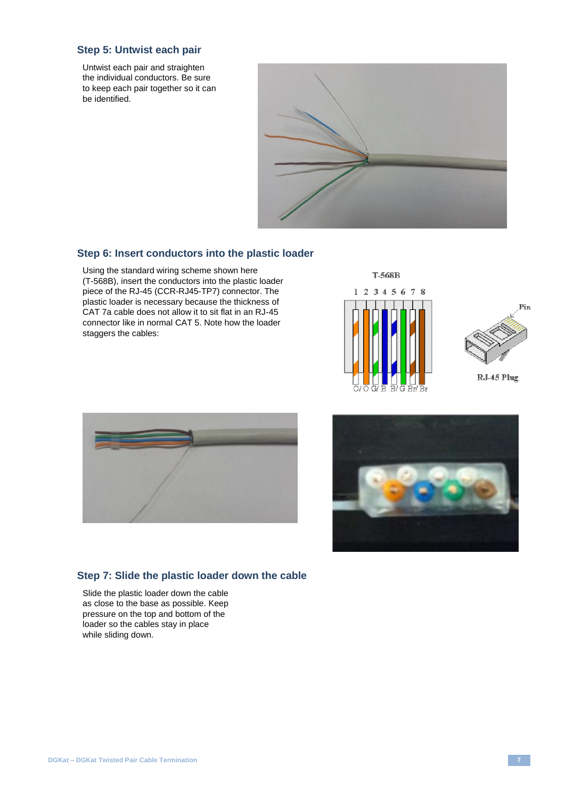### **Step 5: Untwist each pair**

Untwist each pair and straighten the individual conductors. Be sure to keep each pair together so it can be identified.



# **Step 6: Insert conductors into the plastic loader**

Using the standard wiring scheme shown here (T-568B), insert the conductors into the plastic loader piece of the RJ-45 (CCR-RJ45-TP7) connector. The plastic loader is necessary because the thickness of CAT 7a cable does not allow it to sit flat in an RJ-45 connector like in normal CAT 5. Note how the loader staggers the cables:











#### **Step 7: Slide the plastic loader down the cable**

Slide the plastic loader down the cable as close to the base as possible. Keep pressure on the top and bottom of the loader so the cables stay in place while sliding down.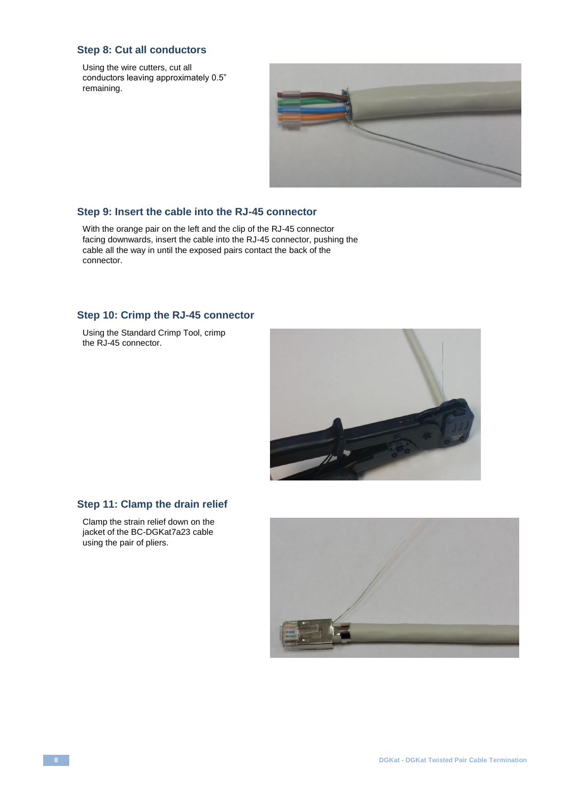# **Step 8: Cut all conductors**

Using the wire cutters, cut all conductors leaving approximately 0.5" remaining.



#### **Step 9: Insert the cable into the RJ-45 connector**

With the orange pair on the left and the clip of the RJ-45 connector facing downwards, insert the cable into the RJ-45 connector, pushing the cable all the way in until the exposed pairs contact the back of the connector.

#### **Step 10: Crimp the RJ-45 connector**

Using the Standard Crimp Tool, crimp the RJ-45 connector.



### **Step 11: Clamp the drain relief**

Clamp the strain relief down on the jacket of the BC-DGKat7a23 cable using the pair of pliers.

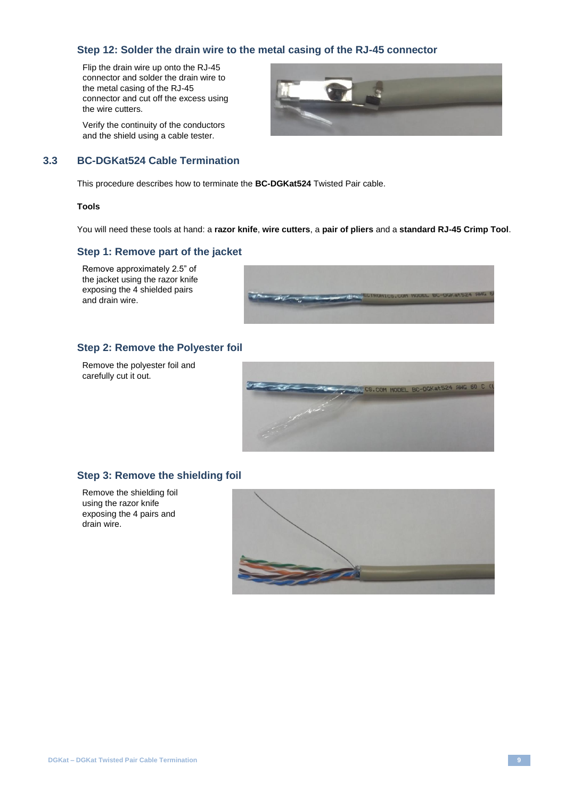# **Step 12: Solder the drain wire to the metal casing of the RJ-45 connector**

Flip the drain wire up onto the RJ-45 connector and solder the drain wire to the metal casing of the RJ-45 connector and cut off the excess using the wire cutters.

Verify the continuity of the conductors and the shield using a cable tester.



# <span id="page-9-0"></span>**3.3 BC-DGKat524 Cable Termination**

This procedure describes how to terminate the **BC-DGKat524** Twisted Pair cable.

#### **Tools**

You will need these tools at hand: a **razor knife**, **wire cutters**, a **pair of pliers** and a **standard RJ-45 Crimp Tool**.

#### **Step 1: Remove part of the jacket**

Remove approximately 2.5" of the jacket using the razor knife exposing the 4 shielded pairs and drain wire.



### **Step 2: Remove the Polyester foil**

Remove the polyester foil and carefully cut it out.



### **Step 3: Remove the shielding foil**

Remove the shielding foil using the razor knife exposing the 4 pairs and drain wire.

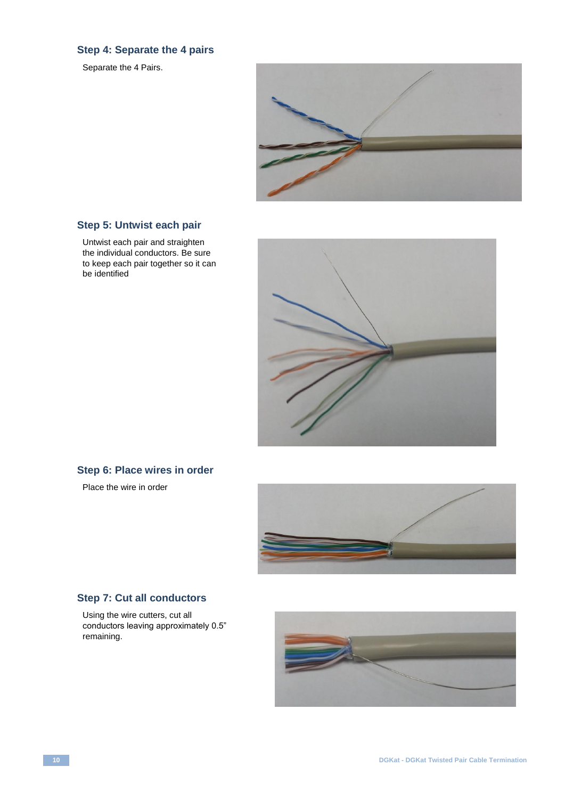# **Step 4: Separate the 4 pairs**

Separate the 4 Pairs.



# **Step 5: Untwist each pair**

Untwist each pair and straighten the individual conductors. Be sure to keep each pair together so it can be identified



# **Step 6: Place wires in order**

Place the wire in order



# **Step 7: Cut all conductors**

Using the wire cutters, cut all conductors leaving approximately 0.5" remaining.